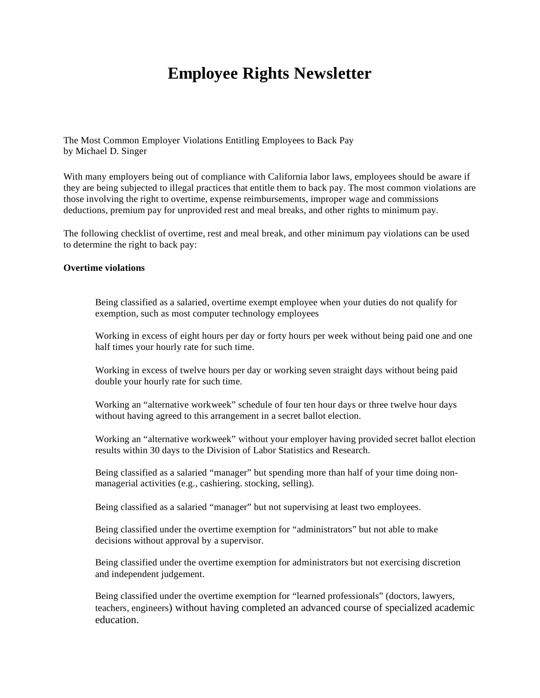# **Employee Rights Newsletter**

The Most Common Employer Violations Entitling Employees to Back Pay by Michael D. Singer

With many employers being out of compliance with California labor laws, employees should be aware if they are being subjected to illegal practices that entitle them to back pay. The most common violations are those involving the right to overtime, expense reimbursements, improper wage and commissions deductions, premium pay for unprovided rest and meal breaks, and other rights to minimum pay.

The following checklist of overtime, rest and meal break, and other minimum pay violations can be used to determine the right to back pay:

#### **Overtime violations**

Being classified as a salaried, overtime exempt employee when your duties do not qualify for exemption, such as most computer technology employees

Working in excess of eight hours per day or forty hours per week without being paid one and one half times your hourly rate for such time.

Working in excess of twelve hours per day or working seven straight days without being paid double your hourly rate for such time.

Working an "alternative workweek" schedule of four ten hour days or three twelve hour days without having agreed to this arrangement in a secret ballot election.

Working an "alternative workweek" without your employer having provided secret ballot election results within 30 days to the Division of Labor Statistics and Research.

 Being classified as a salaried "manager" but spending more than half of your time doing non managerial activities (e.g., cashiering. stocking, selling).

Being classified as a salaried "manager" but not supervising at least two employees.

Being classified under the overtime exemption for "administrators" but not able to make decisions without approval by a supervisor.

Being classified under the overtime exemption for administrators but not exercising discretion and independent judgement.

Being classified under the overtime exemption for "learned professionals" (doctors, lawyers, teachers, engineers) without having completed an advanced course of specialized academic education.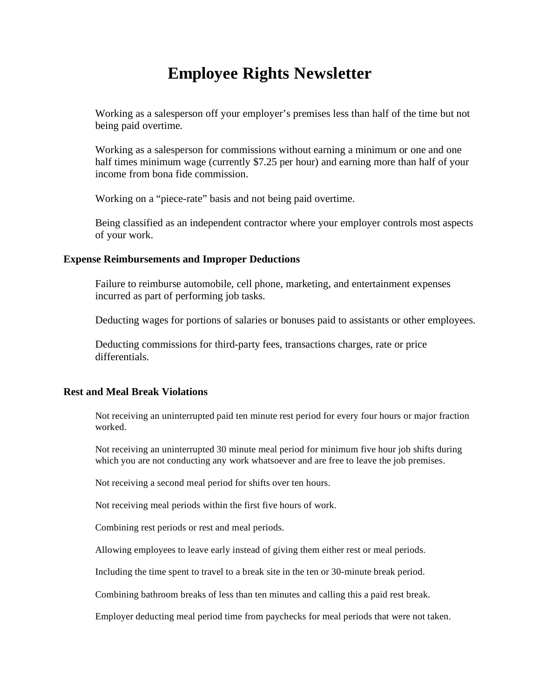### **Employee Rights Newsletter**

Working as a salesperson off your employer's premises less than half of the time but not being paid overtime.

Working as a salesperson for commissions without earning a minimum or one and one half times minimum wage (currently \$7.25 per hour) and earning more than half of your income from bona fide commission.

Working on a "piece-rate" basis and not being paid overtime.

Being classified as an independent contractor where your employer controls most aspects of your work.

### **Expense Reimbursements and Improper Deductions**

Failure to reimburse automobile, cell phone, marketing, and entertainment expenses incurred as part of performing job tasks.

Deducting wages for portions of salaries or bonuses paid to assistants or other employees.

 Deducting commissions for third-party fees, transactions charges, rate or price differentials.

#### **Rest and Meal Break Violations**

Not receiving an uninterrupted paid ten minute rest period for every four hours or major fraction worked.

Not receiving an uninterrupted 30 minute meal period for minimum five hour job shifts during which you are not conducting any work whatsoever and are free to leave the job premises.

Not receiving a second meal period for shifts over ten hours.

Not receiving meal periods within the first five hours of work.

Combining rest periods or rest and meal periods.

Allowing employees to leave early instead of giving them either rest or meal periods.

Including the time spent to travel to a break site in the ten or 30-minute break period.

Combining bathroom breaks of less than ten minutes and calling this a paid rest break.

Employer deducting meal period time from paychecks for meal periods that were not taken.